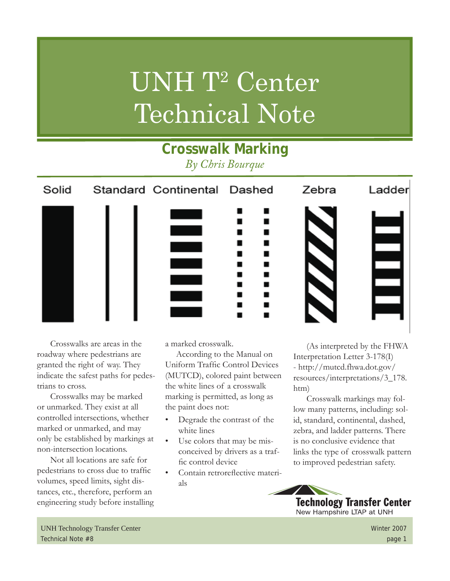# UNH T<sup>2</sup> Center Technical Note

**Crosswalk Marking**

## *By Chris Bourque* Ladder Solid Standard Continental Dashed Zebra  $\blacksquare$  $\equiv$

Crosswalks are areas in the roadway where pedestrians are granted the right of way. They indicate the safest paths for pedestrians to cross.

Crosswalks may be marked or unmarked. They exist at all controlled intersections, whether marked or unmarked, and may only be established by markings at non-intersection locations.

Not all locations are safe for pedestrians to cross due to traffic volumes, speed limits, sight distances, etc., therefore, perform an engineering study before installing a marked crosswalk.

According to the Manual on Uniform Traffic Control Devices (MUTCD), colored paint between the white lines of a crosswalk marking is permitted, as long as the paint does not:

- Degrade the contrast of the white lines
- Use colors that may be misconceived by drivers as a traffic control device
- Contain retroreflective materials

(As interpreted by the FHWA Interpretation Letter 3-178(I) - http://mutcd.fhwa.dot.gov/ resources/interpretations/3\_178. htm)

Crosswalk markings may follow many patterns, including: solid, standard, continental, dashed, zebra, and ladder patterns. There is no conclusive evidence that links the type of crosswalk pattern to improved pedestrian safety.



UNH Technology Transfer Center Winter 2007 Technical Note #8 page 1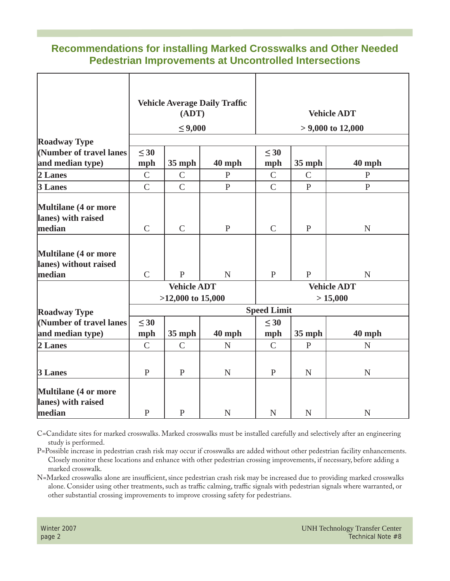#### **Recommendations for installing Marked Crosswalks and Other Needed Pedestrian Improvements at Uncontrolled Intersections**

|                                                         | <b>Vehicle Average Daily Traffic</b><br>(ADT)<br>$\leq 9,000$ |                |              | <b>Vehicle ADT</b><br>$> 9,000$ to 12,000 |               |              |
|---------------------------------------------------------|---------------------------------------------------------------|----------------|--------------|-------------------------------------------|---------------|--------------|
|                                                         |                                                               |                |              |                                           |               |              |
| <b>Roadway Type</b>                                     |                                                               |                |              |                                           |               |              |
| (Number of travel lanes                                 | $\leq 30$                                                     |                |              | $\leq 30$                                 |               |              |
| and median type)                                        | mph                                                           | $35$ mph       | 40 mph       | mph                                       | $35$ mph      | $40$ mph     |
| 2 Lanes                                                 | $\mathsf{C}$                                                  | $\mathsf{C}$   | $\mathbf{P}$ | $\mathsf{C}$                              | $\mathcal{C}$ | $\mathbf{P}$ |
| 3 Lanes                                                 | $\overline{C}$                                                | $\overline{C}$ | $\mathbf{P}$ | $\overline{C}$                            | $\mathbf{P}$  | $\mathbf{P}$ |
| <b>Multilane (4 or more</b><br>lanes) with raised       |                                                               |                |              |                                           |               |              |
| median                                                  | $\mathsf{C}$                                                  | $\mathsf{C}$   | $\mathbf{P}$ | $\mathsf{C}$                              | $\mathbf{P}$  | $\mathbf N$  |
| Multilane (4 or more<br>lanes) without raised<br>median | $\mathsf{C}$                                                  | $\mathbf{P}$   | $\mathbf N$  | $\mathbf{P}$                              | $\mathbf{P}$  | $\mathbf N$  |
|                                                         | <b>Vehicle ADT</b>                                            |                |              | <b>Vehicle ADT</b>                        |               |              |
|                                                         | $>12,000$ to 15,000                                           |                |              | > 15,000                                  |               |              |
| <b>Roadway Type</b>                                     | <b>Speed Limit</b>                                            |                |              |                                           |               |              |
| (Number of travel lanes                                 | $\leq 30$                                                     |                |              | $\leq 30$                                 |               |              |
| and median type)                                        | mph                                                           | $35$ mph       | 40 mph       | mph                                       | <b>35 mph</b> | 40 mph       |
| 2 Lanes                                                 | $\mathsf{C}$                                                  | $\mathsf{C}$   | $\mathbf N$  | $\mathcal{C}$                             | $\mathbf{P}$  | $\mathbf N$  |
|                                                         |                                                               |                |              |                                           |               |              |
| 3 Lanes                                                 | $\mathbf{P}$                                                  | $\mathbf{P}$   | ${\bf N}$    | $\mathbf{P}$                              | ${\bf N}$     | ${\bf N}$    |
| <b>Multilane (4 or more</b><br>lanes) with raised       |                                                               |                |              |                                           |               |              |
| median                                                  | $\mathbf{P}$                                                  | $\mathbf{P}$   | ${\bf N}$    | $\mathbf N$                               | ${\bf N}$     | ${\bf N}$    |

C=Candidate sites for marked crosswalks. Marked crosswalks must be installed carefully and selectively after an engineering study is performed.

P=Possible increase in pedestrian crash risk may occur if crosswalks are added without other pedestrian facility enhancements. Closely monitor these locations and enhance with other pedestrian crossing improvements, if necessary, before adding a marked crosswalk.

N=Marked crosswalks alone are insufficient, since pedestrian crash risk may be increased due to providing marked crosswalks alone. Consider using other treatments, such as traffic calming, traffic signals with pedestrian signals where warranted, or other substantial crossing improvements to improve crossing safety for pedestrians.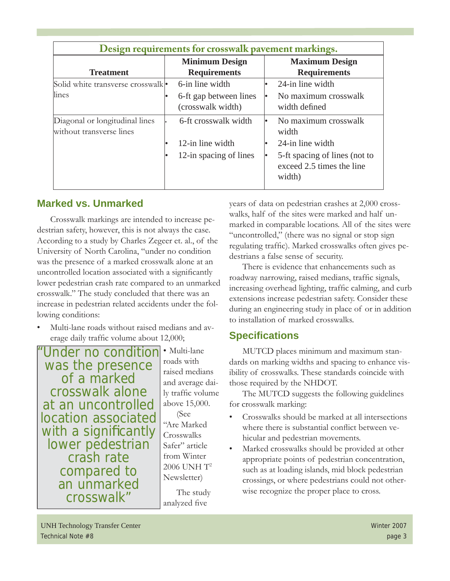| Design requirements for crosswalk pavement markings.       |                                              |                                                                      |  |  |  |  |
|------------------------------------------------------------|----------------------------------------------|----------------------------------------------------------------------|--|--|--|--|
| <b>Treatment</b>                                           | <b>Minimum Design</b><br><b>Requirements</b> | <b>Maximum Design</b><br><b>Requirements</b>                         |  |  |  |  |
| Solid white transverse crosswalk                           | 6-in line width                              | 24-in line width                                                     |  |  |  |  |
| lines                                                      | 6-ft gap between lines<br>(crosswalk width)  | No maximum crosswalk<br>width defined                                |  |  |  |  |
| Diagonal or longitudinal lines<br>without transverse lines | 6-ft crosswalk width                         | No maximum crosswalk<br>width                                        |  |  |  |  |
|                                                            | 12-in line width                             | 24-in line width                                                     |  |  |  |  |
|                                                            | 12-in spacing of lines                       | 5-ft spacing of lines (not to<br>exceed 2.5 times the line<br>width) |  |  |  |  |

#### **Marked vs. Unmarked**

Crosswalk markings are intended to increase pedestrian safety, however, this is not always the case. According to a study by Charles Zegeer et. al., of the University of North Carolina, "under no condition was the presence of a marked crosswalk alone at an uncontrolled location associated with a significantly lower pedestrian crash rate compared to an unmarked crosswalk." The study concluded that there was an increase in pedestrian related accidents under the following conditions:

Multi-lane roads without raised medians and average daily traffic volume about 12,000;

"Under no condition "was the presence of a marked crosswalk alone at an uncontrolled location associated with a significantly<br>lower pedestrian crash rate compared to an unmarked crosswalk"

• Multi-lane roads with raised medians and average daily traffic volume above 15,000. (See "Are Marked **Crosswalks** Safer" article from Winter 2006 UNH T2 Newsletter)

The study analyzed five

years of data on pedestrian crashes at 2,000 crosswalks, half of the sites were marked and half unmarked in comparable locations. All of the sites were "uncontrolled," (there was no signal or stop sign regulating traffic). Marked crosswalks often gives pedestrians a false sense of security.

There is evidence that enhancements such as roadway narrowing, raised medians, traffic signals, increasing overhead lighting, traffic calming, and curb extensions increase pedestrian safety. Consider these during an engineering study in place of or in addition to installation of marked crosswalks.

### **Specifi cations**

MUTCD places minimum and maximum standards on marking widths and spacing to enhance visibility of crosswalks. These standards coincide with those required by the NHDOT.

The MUTCD suggests the following guidelines for crosswalk marking:

- Crosswalks should be marked at all intersections where there is substantial conflict between vehicular and pedestrian movements.
- Marked crosswalks should be provided at other appropriate points of pedestrian concentration, such as at loading islands, mid block pedestrian crossings, or where pedestrians could not otherwise recognize the proper place to cross.